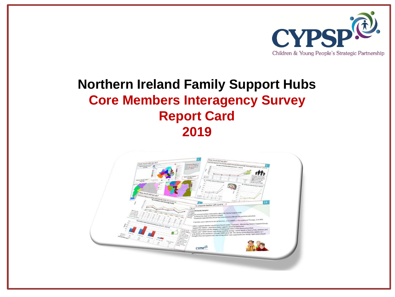

## **Northern Ireland Family Support Hubs Core Members Interagency Survey Report Card 2019**

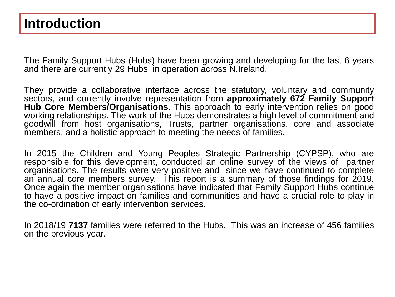### **Introduction**

The Family Support Hubs (Hubs) have been growing and developing for the last 6 years and there are currently 29 Hubs in operation across N.Ireland.

They provide a collaborative interface across the statutory, voluntary and community sectors, and currently involve representation from **approximately 672 Family Support Hub Core Members/Organisations**. This approach to early intervention relies on good working relationships. The work of the Hubs demonstrates a high level of commitment and goodwill from host organisations, Trusts, partner organisations, core and associate members, and a holistic approach to meeting the needs of families.

In 2015 the Children and Young Peoples Strategic Partnership (CYPSP), who are responsible for this development, conducted an online survey of the views of partner organisations. The results were very positive and since we have continued to complete an annual core members survey. This report is a summary of those findings for 2019. Once again the member organisations have indicated that Family Support Hubs continue to have a positive impact on families and communities and have a crucial role to play in the co-ordination of early intervention services.

In 2018/19 **7137** families were referred to the Hubs. This was an increase of 456 families on the previous year.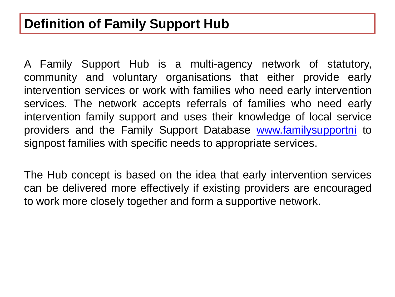A Family Support Hub is a multi-agency network of statutory, community and voluntary organisations that either provide early intervention services or work with families who need early intervention services. The network accepts referrals of families who need early intervention family support and uses their knowledge of local service providers and the Family Support Database [www.familysupportni](http://www.familysupportni/) to signpost families with specific needs to appropriate services.

The Hub concept is based on the idea that early intervention services can be delivered more effectively if existing providers are encouraged to work more closely together and form a supportive network.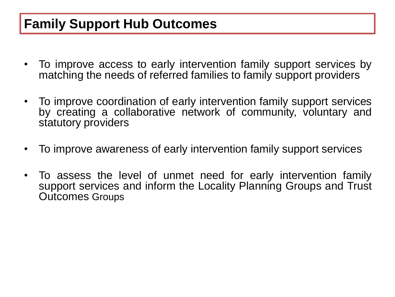## **Family Support Hub Outcomes**

- To improve access to early intervention family support services by matching the needs of referred families to family support providers
- To improve coordination of early intervention family support services by creating a collaborative network of community, voluntary and statutory providers
- To improve awareness of early intervention family support services
- To assess the level of unmet need for early intervention family support services and inform the Locality Planning Groups and Trust Outcomes Groups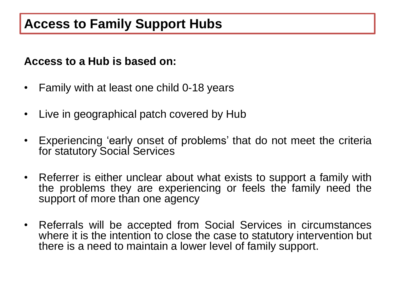### **Access to a Hub is based on:**

- Family with at least one child 0-18 years
- Live in geographical patch covered by Hub
- Experiencing 'early onset of problems' that do not meet the criteria for statutory Social Services
- Referrer is either unclear about what exists to support a family with the problems they are experiencing or feels the family need the support of more than one agency
- Referrals will be accepted from Social Services in circumstances where it is the intention to close the case to statutory intervention but there is a need to maintain a lower level of family support.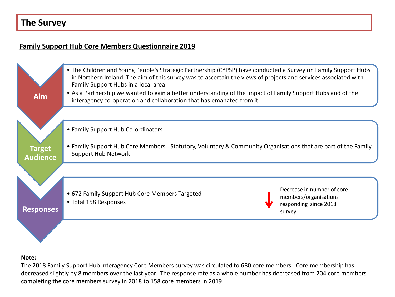### **The Survey**

#### **Family Support Hub Core Members Questionnaire 2019**



#### **Note:**

The 2018 Family Support Hub Interagency Core Members survey was circulated to 680 core members. Core membership has decreased slightly by 8 members over the last year. The response rate as a whole number has decreased from 204 core members completing the core members survey in 2018 to 158 core members in 2019.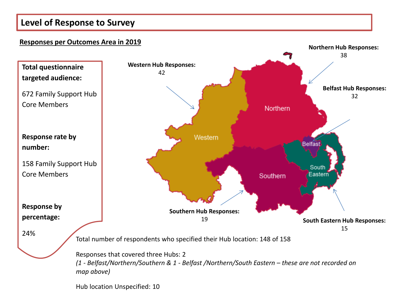### **Level of Response to Survey**

#### **Responses per Outcomes Area in 2019**



Hub location Unspecified: 10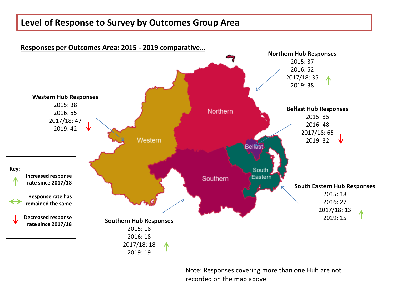### **Level of Response to Survey by Outcomes Group Area**



Note: Responses covering more than one Hub are not recorded on the map above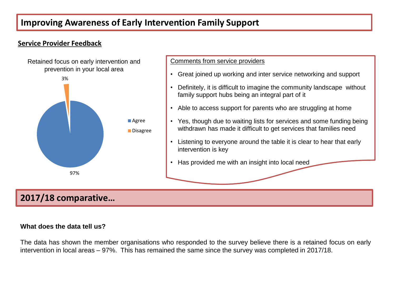### **Improving Awareness of Early Intervention Family Support**

#### **Service Provider Feedback**



#### Comments from service providers

- Great joined up working and inter service networking and support
- Definitely, it is difficult to imagine the community landscape without family support hubs being an integral part of it
- Able to access support for parents who are struggling at home
- Yes, though due to waiting lists for services and some funding being withdrawn has made it difficult to get services that families need
- Listening to everyone around the table it is clear to hear that early intervention is key
- Has provided me with an insight into local need

### **2017/18 comparative…**

#### **What does the data tell us?**

The data has shown the member organisations who responded to the survey believe there is a retained focus on early intervention in local areas – 97%. This has remained the same since the survey was completed in 2017/18.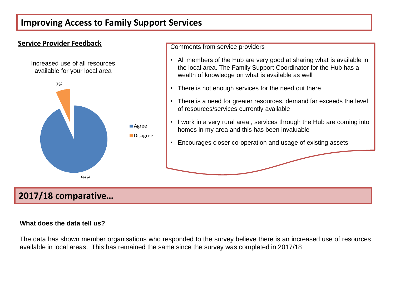### **Improving Access to Family Support Services**



#### **What does the data tell us?**

The data has shown member organisations who responded to the survey believe there is an increased use of resources available in local areas. This has remained the same since the survey was completed in 2017/18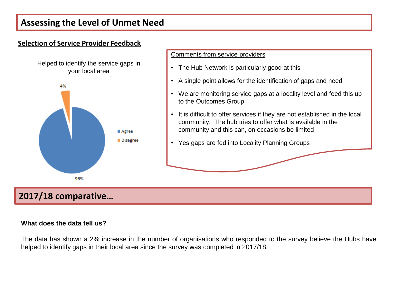### **Assessing the Level of Unmet Need**

# **Selection of Service Provider Feedback** Helped to identify the service gaps in your local area4%

■ Agree Disagree Comments from service providers

- The Hub Network is particularly good at this
- A single point allows for the identification of gaps and need
- We are monitoring service gaps at a locality level and feed this up to the Outcomes Group
- It is difficult to offer services if they are not established in the local community. The hub tries to offer what is available in the community and this can, on occasions be limited
- Yes gaps are fed into Locality Planning Groups

### **2017/18 comparative…**

96%

#### **What does the data tell us?**

The data has shown a 2% increase in the number of organisations who responded to the survey believe the Hubs have helped to identify gaps in their local area since the survey was completed in 2017/18.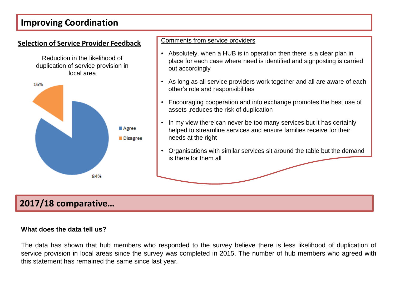### **Improving Coordination**



### **2017/18 comparative…**

#### **What does the data tell us?**

The data has shown that hub members who responded to the survey believe there is less likelihood of duplication of service provision in local areas since the survey was completed in 2015. The number of hub members who agreed with this statement has remained the same since last year.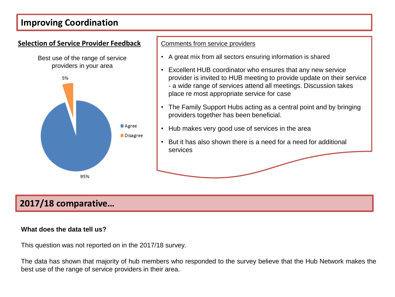### **Improving Coordination**



- A great mix from all sectors ensuring information is shared
- Excellent HUB coordinator who ensures that any new service provider is invited to HUB meeting to provide update on their service - a wide range of services attend all meetings. Discussion takes place re most appropriate service for case
- The Family Support Hubs acting as a central point and by bringing providers together has been beneficial.
- Hub makes very good use of services in the area
- But it has also shown there is a need for a need for additional services

### **2017/18 comparative…**

#### **What does the data tell us?**

This question was not reported on in the 2017/18 survey.

The data has shown that majority of hub members who responded to the survey believe that the Hub Network makes the best use of the range of service providers in their area.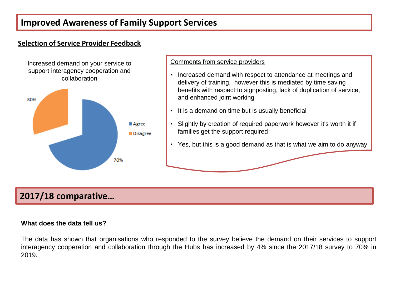### **Improved Awareness of Family Support Services**

### **Selection of Service Provider Feedback**

Increased demand on your service to support interagency cooperation and collaboration



#### Comments from service providers

- Increased demand with respect to attendance at meetings and delivery of training, however this is mediated by time saving benefits with respect to signposting, lack of duplication of service, and enhanced joint working
- It is a demand on time but is usually beneficial
- Slightly by creation of required paperwork however it's worth it if families get the support required
- Yes, but this is a good demand as that is what we aim to do anyway

### **2017/18 comparative…**

#### **What does the data tell us?**

The data has shown that organisations who responded to the survey believe the demand on their services to support interagency cooperation and collaboration through the Hubs has increased by 4% since the 2017/18 survey to 70% in 2019.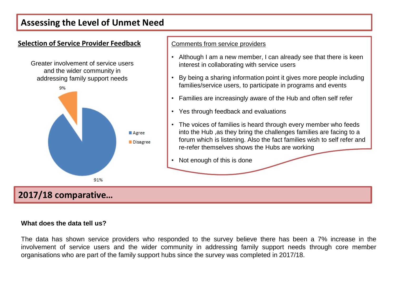### **Assessing the Level of Unmet Need**



#### **What does the data tell us?**

The data has shown service providers who responded to the survey believe there has been a 7% increase in the involvement of service users and the wider community in addressing family support needs through core member organisations who are part of the family support hubs since the survey was completed in 2017/18.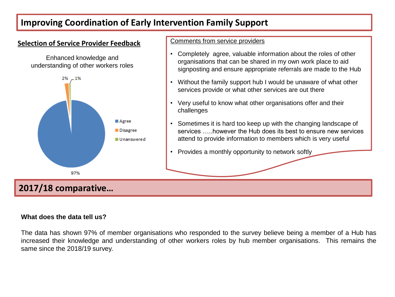### **Improving Coordination of Early Intervention Family Support**

#### **Selection of Service Provider Feedback**



#### Comments from service providers

- Completely agree, valuable information about the roles of other organisations that can be shared in my own work place to aid signposting and ensure appropriate referrals are made to the Hub
- Without the family support hub I would be unaware of what other services provide or what other services are out there
- Very useful to know what other organisations offer and their challenges
- Sometimes it is hard too keep up with the changing landscape of services however the Hub does its best to ensure new services attend to provide information to members which is very useful
- Provides a monthly opportunity to network softly

### **2017/18 comparative…**

97%

#### **What does the data tell us?**

The data has shown 97% of member organisations who responded to the survey believe being a member of a Hub has increased their knowledge and understanding of other workers roles by hub member organisations. This remains the same since the 2018/19 survey.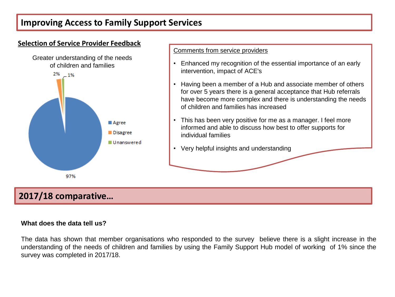### **Improving Access to Family Support Services**



#### **What does the data tell us?**

The data has shown that member organisations who responded to the survey believe there is a slight increase in the understanding of the needs of children and families by using the Family Support Hub model of working of 1% since the survey was completed in 2017/18.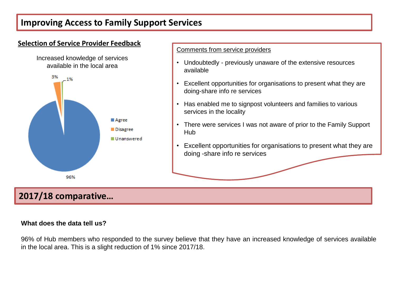### **Improving Access to Family Support Services**



#### **What does the data tell us?**

96% of Hub members who responded to the survey believe that they have an increased knowledge of services available in the local area. This is a slight reduction of 1% since 2017/18.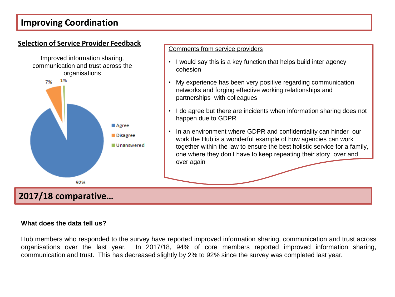### **Improving Coordination**



#### **What does the data tell us?**

Hub members who responded to the survey have reported improved information sharing, communication and trust across organisations over the last year. In 2017/18, 94% of core members reported improved information sharing, communication and trust. This has decreased slightly by 2% to 92% since the survey was completed last year.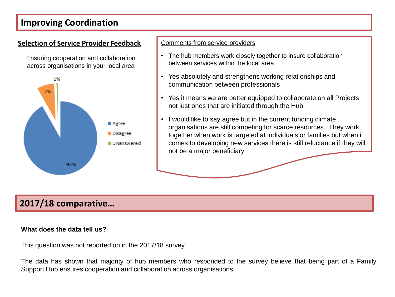### **Improving Coordination**

#### **Selection of Service Provider Feedback Comments from service providers**

Ensuring cooperation and collaboration across organisations in your local area



- The hub members work closely together to insure collaboration between services within the local area
- Yes absolutely and strengthens working relationships and communication between professionals
- Yes it means we are better equipped to collaborate on all Projects not just ones that are initiated through the Hub
- I would like to say agree but in the current funding climate organisations are still competing for scarce resources. They work together when work is targeted at individuals or families but when it comes to developing new services there is still reluctance if they will not be a major beneficiary

### **2017/18 comparative…**

#### **What does the data tell us?**

This question was not reported on in the 2017/18 survey.

The data has shown that majority of hub members who responded to the survey believe that being part of a Family Support Hub ensures cooperation and collaboration across organisations.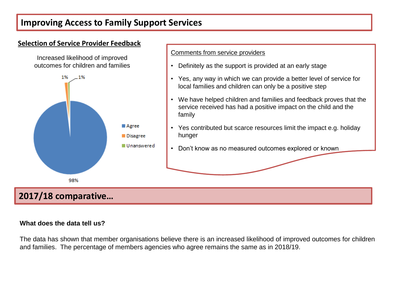### **Improving Access to Family Support Services**



#### **What does the data tell us?**

The data has shown that member organisations believe there is an increased likelihood of improved outcomes for children and families. The percentage of members agencies who agree remains the same as in 2018/19.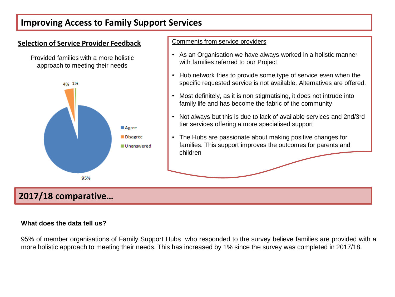### **Improving Access to Family Support Services**



#### **What does the data tell us?**

95% of member organisations of Family Support Hubs who responded to the survey believe families are provided with a more holistic approach to meeting their needs. This has increased by 1% since the survey was completed in 2017/18.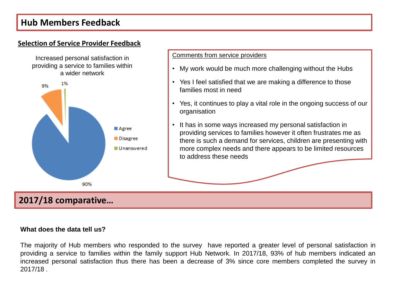### **Hub Members Feedback**

### **Selection of Service Provider Feedback**





Comments from service providers

- My work would be much more challenging without the Hubs
- Yes I feel satisfied that we are making a difference to those families most in need
- Yes, it continues to play a vital role in the ongoing success of our organisation
- It has in some ways increased my personal satisfaction in providing services to families however it often frustrates me as there is such a demand for services, children are presenting with more complex needs and there appears to be limited resources to address these needs

### **2017/18 comparative…**

#### **What does the data tell us?**

The majority of Hub members who responded to the survey have reported a greater level of personal satisfaction in providing a service to families within the family support Hub Network. In 2017/18, 93% of hub members indicated an increased personal satisfaction thus there has been a decrease of 3% since core members completed the survey in 2017/18 .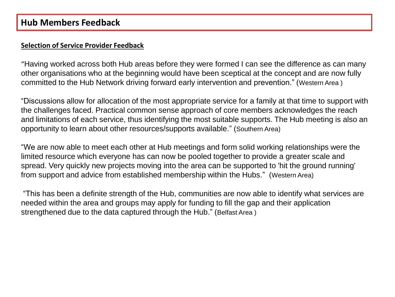#### **Selection of Service Provider Feedback**

"Having worked across both Hub areas before they were formed I can see the difference as can many other organisations who at the beginning would have been sceptical at the concept and are now fully committed to the Hub Network driving forward early intervention and prevention." (Western Area )

"Discussions allow for allocation of the most appropriate service for a family at that time to support with the challenges faced. Practical common sense approach of core members acknowledges the reach and limitations of each service, thus identifying the most suitable supports. The Hub meeting is also an opportunity to learn about other resources/supports available." (Southern Area)

"We are now able to meet each other at Hub meetings and form solid working relationships were the limited resource which everyone has can now be pooled together to provide a greater scale and spread. Very quickly new projects moving into the area can be supported to 'hit the ground running' from support and advice from established membership within the Hubs." (Western Area)

"This has been a definite strength of the Hub, communities are now able to identify what services are needed within the area and groups may apply for funding to fill the gap and their application strengthened due to the data captured through the Hub." (Belfast Area )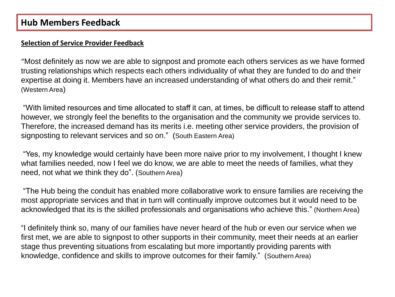#### **Selection of Service Provider Feedback**

"Most definitely as now we are able to signpost and promote each others services as we have formed trusting relationships which respects each others individuality of what they are funded to do and their expertise at doing it. Members have an increased understanding of what others do and their remit." (Western Area)

"With limited resources and time allocated to staff it can, at times, be difficult to release staff to attend however, we strongly feel the benefits to the organisation and the community we provide services to. Therefore, the increased demand has its merits i.e. meeting other service providers, the provision of signposting to relevant services and so on." (South Eastern Area)

"Yes, my knowledge would certainly have been more naive prior to my involvement, I thought I knew what families needed, now I feel we do know, we are able to meet the needs of families, what they need, not what we think they do". (Southern Area)

"The Hub being the conduit has enabled more collaborative work to ensure families are receiving the most appropriate services and that in turn will continually improve outcomes but it would need to be acknowledged that its is the skilled professionals and organisations who achieve this." (Northern Area)

"I definitely think so, many of our families have never heard of the hub or even our service when we first met, we are able to signpost to other supports in their community, meet their needs at an earlier stage thus preventing situations from escalating but more importantly providing parents with knowledge, confidence and skills to improve outcomes for their family." (Southern Area)